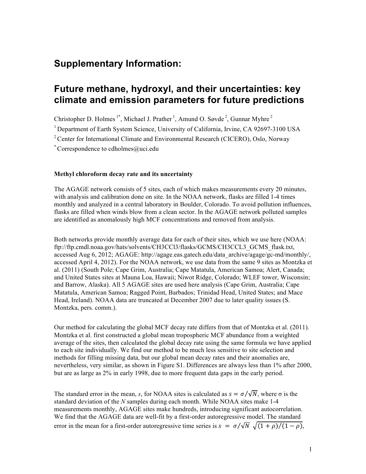## **Supplementary Information:**

# **Future methane, hydroxyl, and their uncertainties: key climate and emission parameters for future predictions**

Christopher D. Holmes<sup>1\*</sup>, Michael J. Prather<sup>1</sup>, Amund O. Søvde<sup>2</sup>, Gunnar Myhre<sup>2</sup> <sup>1</sup> Department of Earth System Science, University of California, Irvine, CA 92697-3100 USA <sup>2</sup> Center for International Climate and Environmental Research (CICERO), Oslo, Norway \* Correspondence to cdholmes@uci.edu

### **Methyl chloroform decay rate and its uncertainty**

The AGAGE network consists of 5 sites, each of which makes measurements every 20 minutes, with analysis and calibration done on site. In the NOAA network, flasks are filled 1-4 times monthly and analyzed in a central laboratory in Boulder, Colorado. To avoid pollution influences, flasks are filled when winds blow from a clean sector. In the AGAGE network polluted samples are identified as anomalously high MCF concentrations and removed from analysis.

Both networks provide monthly average data for each of their sites, which we use here (NOAA: ftp://ftp.cmdl.noaa.gov/hats/solvents/CH3CCl3/flasks/GCMS/CH3CCL3\_GCMS\_flask.txt, accessed Aug 6, 2012; AGAGE: http://agage.eas.gatech.edu/data\_archive/agage/gc-md/monthly/, accessed April 4, 2012). For the NOAA network, we use data from the same 9 sites as Montzka et al. (2011) (South Pole; Cape Grim, Australia; Cape Matatula, American Samoa; Alert, Canada; and United States sites at Mauna Loa, Hawaii; Niwot Ridge, Colorado; WLEF tower, Wisconsin; and Barrow, Alaska). All 5 AGAGE sites are used here analysis (Cape Grim, Australia; Cape Matatula, American Samoa; Ragged Point, Barbados; Trinidad Head, United States; and Mace Head, Ireland). NOAA data are truncated at December 2007 due to later quality issues (S. Montzka, pers. comm.).

Our method for calculating the global MCF decay rate differs from that of Montzka et al. (2011). Montzka et al. first constructed a global mean tropospheric MCF abundance from a weighted average of the sites, then calculated the global decay rate using the same formula we have applied to each site individually. We find our method to be much less sensitive to site selection and methods for filling missing data, but our global mean decay rates and their anomalies are, nevertheless, very similar, as shown in Figure S1. Differences are always less than 1% after 2000, but are as large as 2% in early 1998, due to more frequent data gaps in the early period.

The standard error in the mean, *s*, for NOAA sites is calculated as  $s = \sigma / \sqrt{N}$ , where  $\sigma$  is the standard deviation of the *N* samples during each month. While NOAA sites make 1-4 measurements monthly, AGAGE sites make hundreds, introducing significant autocorrelation. We find that the AGAGE data are well-fit by a first-order autoregressive model. The standard error in the mean for a first-order autoregressive time series is  $s = \frac{\sigma}{\sqrt{N}} \sqrt{\frac{(1+\rho)}{(1-\rho)}}$ .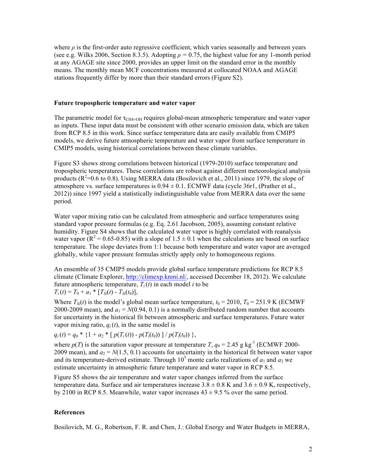where  $\rho$  is the first-order auto regressive coefficient, which varies seasonally and between years (see e.g. Wilks 2006, Section 8.3.5). Adopting  $\rho = 0.75$ , the highest value for any 1-month period at any AGAGE site since 2000, provides an upper limit on the standard error in the monthly means. The monthly mean MCF concentrations measured at collocated NOAA and AGAGE stations frequently differ by more than their standard errors (Figure S2).

#### **Future tropospheric temperature and water vapor**

The parametric model for  $\tau_{\text{CH4}\times\text{OH}}$  requires global-mean atmospheric temperature and water vapor as inputs. These input data must be consistent with other scenario emission data, which are taken from RCP 8.5 in this work. Since surface temperature data are easily available from CMIP5 models, we derive future atmospheric temperature and water vapor from surface temperature in CMIP5 models, using historical correlations between these climate variables.

Figure S3 shows strong correlations between historical (1979-2010) surface temperature and tropospheric temperatures. These correlations are robust against different meteorological analysis products ( $R^2$ =0.6 to 0.8). Using MERRA data (Bosilovich et al., 2011) since 1979, the slope of atmosphere vs. surface temperatures is  $0.94 \pm 0.1$ . ECMWF data (cycle 36r1, (Prather et al., 2012)) since 1997 yield a statistically indistinguishable value from MERRA data over the same period.

Water vapor mixing ratio can be calculated from atmospheric and surface temperatures using standard vapor pressure formulas (e.g. Eq. 2.61 Jacobson, 2005), assuming constant relative humidity. Figure S4 shows that the calculated water vapor is highly correlated with reanalysis water vapor ( $R^2 = 0.65$ -0.85) with a slope of 1.5  $\pm$  0.1 when the calculations are based on surface temperature. The slope deviates from 1:1 because both temperature and water vapor are averaged globally, while vapor pressure formulas strictly apply only to homogeneous regions.

An ensemble of 35 CMIP5 models provide global surface temperature predictions for RCP 8.5 climate (Climate Explorer, http://climexp.knmi.nl/, accessed December 18, 2012). We calculate future atmospheric temperature,  $T_i(t)$  in each model *i* to be  $T_i(t) = T_0 + a_1 * [T_{Si}(t) - T_{Si}(t_0)],$ 

Where  $T_{\text{Si}}(t)$  is the model's global mean surface temperature,  $t_0 = 2010$ ,  $T_0 = 251.9$  K (ECMWF 2000-2009 mean), and  $a_1 = N(0.94, 0.1)$  is a normally distributed random number that accounts for uncertainty in the historical fit between atmospheric and surface temperatures. Future water vapor mixing ratio,  $q_i(t)$ , in the same model is

 $q_i(t) = q_0 * \{1 + a_2 * [p(T_i(t)) - p(T_i(t_0))] / p(T_i(t_0))\},$ 

where  $p(T)$  is the saturation vapor pressure at temperature *T*,  $q_0 = 2.45$  g kg<sup>-1</sup> (ECMWF 2000-2009 mean), and  $a_2 = N(1.5, 0.1)$  accounts for uncertainty in the historical fit between water vapor and its temperature-derived estimate. Through  $10^5$  monte carlo realizations of  $a_1$  and  $a_2$  we estimate uncertainty in atmospheric future temperature and water vapor in RCP 8.5.

Figure S5 shows the air temperature and water vapor changes inferred from the surface temperature data. Surface and air temperatures increase  $3.8 \pm 0.8$  K and  $3.6 \pm 0.9$  K, respectively, by 2100 in RCP 8.5. Meanwhile, water vapor increases  $43 \pm 9.5$  % over the same period.

### **References**

Bosilovich, M. G., Robertson, F. R. and Chen, J.: Global Energy and Water Budgets in MERRA,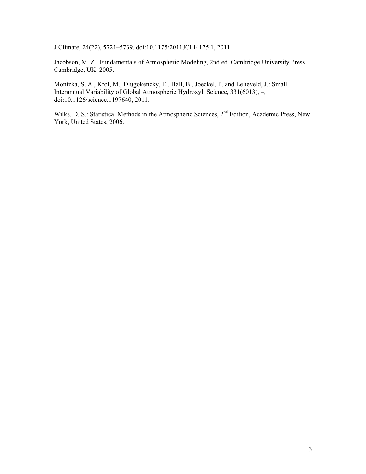J Climate, 24(22), 5721–5739, doi:10.1175/2011JCLI4175.1, 2011.

Jacobson, M. Z.: Fundamentals of Atmospheric Modeling, 2nd ed. Cambridge University Press, Cambridge, UK. 2005.

Montzka, S. A., Krol, M., Dlugokencky, E., Hall, B., Joeckel, P. and Lelieveld, J.: Small Interannual Variability of Global Atmospheric Hydroxyl, Science, 331(6013), –, doi:10.1126/science.1197640, 2011.

Wilks, D. S.: Statistical Methods in the Atmospheric Sciences, 2<sup>nd</sup> Edition, Academic Press, New York, United States, 2006.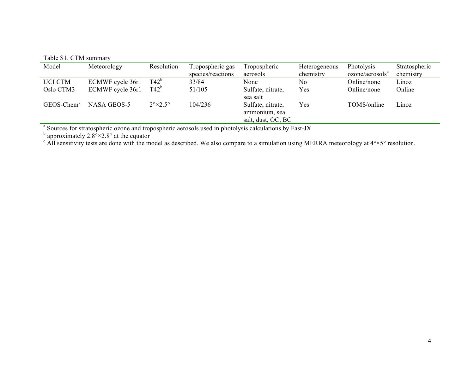Table S1. CTM summary

| Model          | Meteorology      | Resolution                   | Tropospheric gas  | Tropospheric                                             | Heterogeneous | Photolysis                  | Stratospheric |
|----------------|------------------|------------------------------|-------------------|----------------------------------------------------------|---------------|-----------------------------|---------------|
|                |                  |                              | species/reactions | aerosols                                                 | chemistry     | ozone/aerosols <sup>a</sup> | chemistry     |
| <b>UCI CTM</b> | ECMWF cycle 36r1 | $T42^{\circ}$                | 33/84             | None                                                     | No            | Online/none                 | Linoz         |
| Oslo CTM3      | ECMWF cycle 36r1 | $T42^b$                      | 51/105            | Sulfate, nitrate,<br>sea salt                            | Yes           | Online/none                 | Online        |
| $GEOS-Chemc$   | NASA GEOS-5      | $2^{\circ}\times2.5^{\circ}$ | 104/236           | Sulfate, nitrate,<br>ammonium, sea<br>salt, dust, OC, BC | Yes           | TOMS/online                 | Linoz         |

<sup>a</sup> Sources for stratospheric ozone and tropospheric aerosols used in photolysis calculations by Fast-JX.

<sup>b</sup> approximately 2.8°×2.8° at the equator c All sensitivity tests are donormalized as described. We also compare to a simulation using MERRA meteorology at 4°×5° resolution.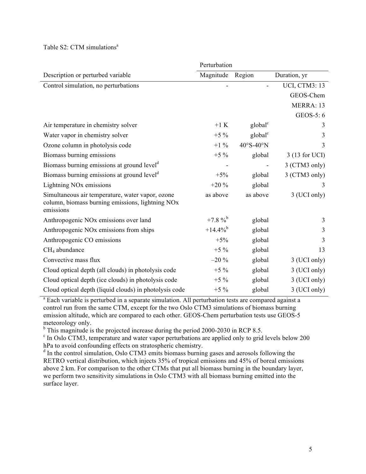Table  $S2$ : CTM simulations<sup>a</sup>

|                                                                                                                   | Perturbation           |                     |                      |  |  |
|-------------------------------------------------------------------------------------------------------------------|------------------------|---------------------|----------------------|--|--|
| Description or perturbed variable                                                                                 | Magnitude              | Region              | Duration, yr         |  |  |
| Control simulation, no perturbations                                                                              |                        |                     | <b>UCI, CTM3: 13</b> |  |  |
|                                                                                                                   |                        |                     | GEOS-Chem            |  |  |
|                                                                                                                   |                        |                     | MERRA: 13            |  |  |
|                                                                                                                   |                        |                     | GEOS-5: 6            |  |  |
| Air temperature in chemistry solver                                                                               | $+1 K$                 | global <sup>c</sup> | 3                    |  |  |
| Water vapor in chemistry solver                                                                                   | $+5\%$                 | global <sup>c</sup> | 3                    |  |  |
| Ozone column in photolysis code                                                                                   | $+1\%$                 | 40°S-40°N           | 3                    |  |  |
| Biomass burning emissions                                                                                         | $+5\%$                 | global              | 3 (13 for UCI)       |  |  |
| Biomass burning emissions at ground level <sup>d</sup>                                                            |                        |                     | 3 (CTM3 only)        |  |  |
| Biomass burning emissions at ground level <sup>d</sup>                                                            | $+5%$                  | global              | 3 (CTM3 only)        |  |  |
| Lightning NO <sub>x</sub> emissions                                                                               | $+20%$                 | global              | 3                    |  |  |
| Simultaneous air temperature, water vapor, ozone<br>column, biomass burning emissions, lightning NOx<br>emissions | as above               | as above            | 3 (UCI only)         |  |  |
| Anthropogenic NO <sub>x</sub> emissions over land                                                                 | $+7.8 \%$              | global              | 3                    |  |  |
| Anthropogenic NO <sub>x</sub> emissions from ships                                                                | $+14.4\%$ <sup>b</sup> | global              | 3                    |  |  |
| Anthropogenic CO emissions                                                                                        | $+5%$                  | global              | 3                    |  |  |
| $CH4$ abundance                                                                                                   | $+5\%$                 | global              | 13                   |  |  |
| Convective mass flux                                                                                              | $-20%$                 | global              | 3 (UCI only)         |  |  |
| Cloud optical depth (all clouds) in photolysis code                                                               | $+5\%$                 | global              | 3 (UCI only)         |  |  |
| Cloud optical depth (ice clouds) in photolysis code                                                               | $+5\%$                 | global              | 3 (UCI only)         |  |  |
| Cloud optical depth (liquid clouds) in photolysis code                                                            | $+5\%$                 | global              | 3 (UCI only)         |  |  |

<sup>a</sup> Each variable is perturbed in a separate simulation. All perturbation tests are compared against a control run from the same CTM, except for the two Oslo CTM3 simulations of biomass burning emission altitude, which are compared to each other. GEOS-Chem perturbation tests use GEOS-5 meteorology only.<br><sup>b</sup> This magnitude is the projected increase during the period 2000-2030 in RCP 8.5.

 $\degree$  In Oslo CTM3, temperature and water vapor perturbations are applied only to grid levels below 200 hPa to avoid confounding effects on stratospheric chemistry.<br>d In the control simulation, Oslo CTM3 emits biomass burning gases and aerosols following the

RETRO vertical distribution, which injects 35% of tropical emissions and 45% of boreal emissions above 2 km. For comparison to the other CTMs that put all biomass burning in the boundary layer, we perform two sensitivity simulations in Oslo CTM3 with all biomass burning emitted into the surface layer.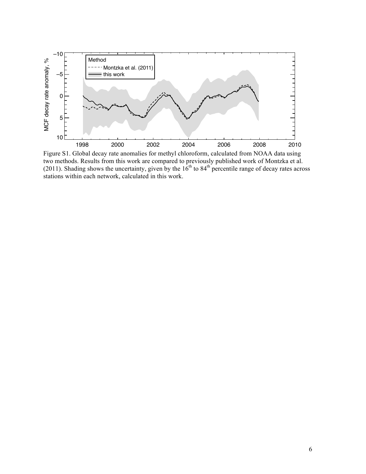

Figure S1. Global decay rate anomalies for methyl chloroform, calculated from NOAA data using two methods. Results from this work are compared to previously published work of Montzka et al. (2011). Shading shows the uncertainty, given by the  $16<sup>th</sup>$  to 84<sup>th</sup> percentile range of decay rates across stations within each network, calculated in this work.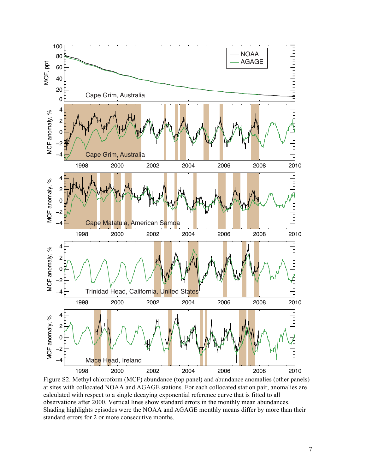

Figure S2. Methyl chloroform (MCF) abundance (top panel) and abundance anomalies (other panels) at sites with collocated NOAA and AGAGE stations. For each collocated station pair, anomalies are calculated with respect to a single decaying exponential reference curve that is fitted to all observations after 2000. Vertical lines show standard errors in the monthly mean abundances. Shading highlights episodes were the NOAA and AGAGE monthly means differ by more than their standard errors for 2 or more consecutive months.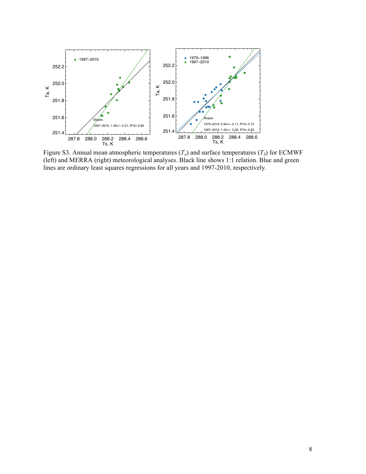

Figure S3. Annual mean atmospheric temperatures  $(T_a)$  and surface temperatures  $(T_s)$  for ECMWF (left) and MERRA (right) meteorological analyses. Black line shows 1:1 relation. Blue and green lines are ordinary least squares regressions for all years and 1997-2010, respectively.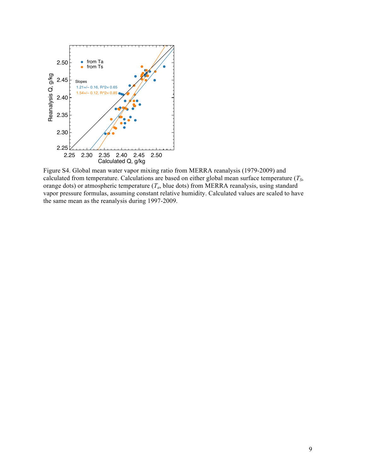

Figure S4. Global mean water vapor mixing ratio from MERRA reanalysis (1979-2009) and calculated from temperature. Calculations are based on either global mean surface temperature (*TS*, orange dots) or atmospheric temperature  $(T_a)$ , blue dots) from MERRA reanalysis, using standard vapor pressure formulas, assuming constant relative humidity. Calculated values are scaled to have the same mean as the reanalysis during 1997-2009.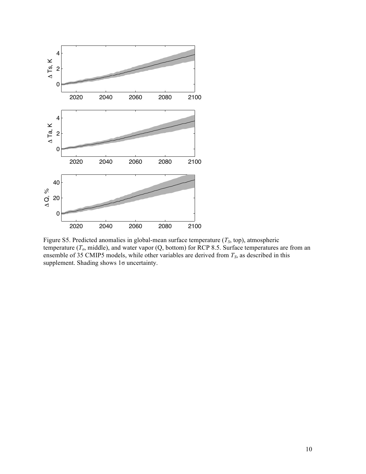

Figure S5. Predicted anomalies in global-mean surface temperature  $(T<sub>S</sub>, top)$ , atmospheric temperature (*Ta*, middle), and water vapor (Q, bottom) for RCP 8.5. Surface temperatures are from an ensemble of 35 CMIP5 models, while other variables are derived from  $T<sub>S</sub>$ , as described in this supplement. Shading shows 1σ uncertainty.